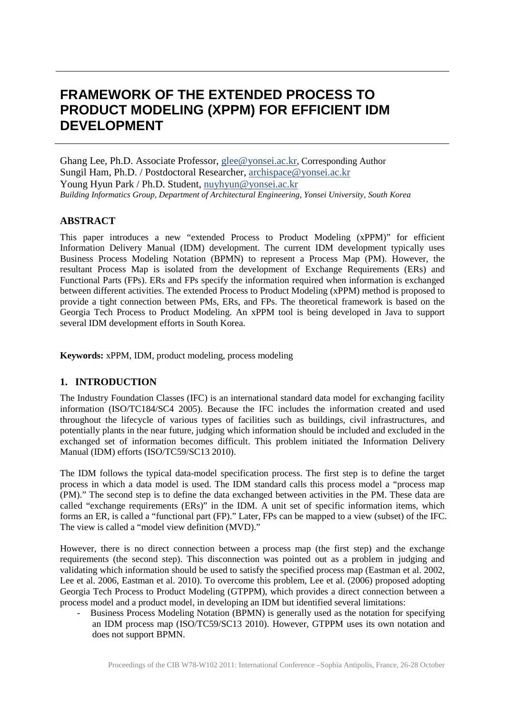# **FRAMEWORK OF THE EXTENDED PROCESS TO PRODUCT MODELING (XPPM) FOR EFFICIENT IDM DEVELOPMENT**

Ghang Lee, Ph.D. Associate Professor, [glee@yonsei.ac.kr,](mailto:glee@yonsei.ac.kr) Corresponding Author Sungil Ham, Ph.D. / Postdoctoral Researcher, [archispace@yonsei.ac.kr](mailto:archispace@yonsei.ac.kr) Young Hyun Park / Ph.D. Student, [nuyhyun@yonsei.ac.kr](mailto:nuyhyun@yonsei.ac.kr) *Building Informatics Group, Department of Architectural Engineering, Yonsei University, South Korea*

# **ABSTRACT**

This paper introduces a new "extended Process to Product Modeling (xPPM)" for efficient Information Delivery Manual (IDM) development. The current IDM development typically uses Business Process Modeling Notation (BPMN) to represent a Process Map (PM). However, the resultant Process Map is isolated from the development of Exchange Requirements (ERs) and Functional Parts (FPs). ERs and FPs specify the information required when information is exchanged between different activities. The extended Process to Product Modeling (xPPM) method is proposed to provide a tight connection between PMs, ERs, and FPs. The theoretical framework is based on the Georgia Tech Process to Product Modeling. An xPPM tool is being developed in Java to support several IDM development efforts in South Korea.

**Keywords:** xPPM, IDM, product modeling, process modeling

## **1. INTRODUCTION**

The Industry Foundation Classes (IFC) is an international standard data model for exchanging facility information (ISO/TC184/SC4 2005). Because the IFC includes the information created and used throughout the lifecycle of various types of facilities such as buildings, civil infrastructures, and potentially plants in the near future, judging which information should be included and excluded in the exchanged set of information becomes difficult. This problem initiated the Information Delivery Manual (IDM) efforts (ISO/TC59/SC13 2010).

The IDM follows the typical data-model specification process. The first step is to define the target process in which a data model is used. The IDM standard calls this process model a "process map (PM)." The second step is to define the data exchanged between activities in the PM. These data are called "exchange requirements (ERs)" in the IDM. A unit set of specific information items, which forms an ER, is called a "functional part (FP)." Later, FPs can be mapped to a view (subset) of the IFC. The view is called a "model view definition (MVD)."

However, there is no direct connection between a process map (the first step) and the exchange requirements (the second step). This disconnection was pointed out as a problem in judging and validating which information should be used to satisfy the specified process map (Eastman et al. 2002, Lee et al. 2006, Eastman et al. 2010). To overcome this problem, Lee et al. (2006) proposed adopting Georgia Tech Process to Product Modeling (GTPPM), which provides a direct connection between a process model and a product model, in developing an IDM but identified several limitations:

- Business Process Modeling Notation (BPMN) is generally used as the notation for specifying an IDM process map (ISO/TC59/SC13 2010). However, GTPPM uses its own notation and does not support BPMN.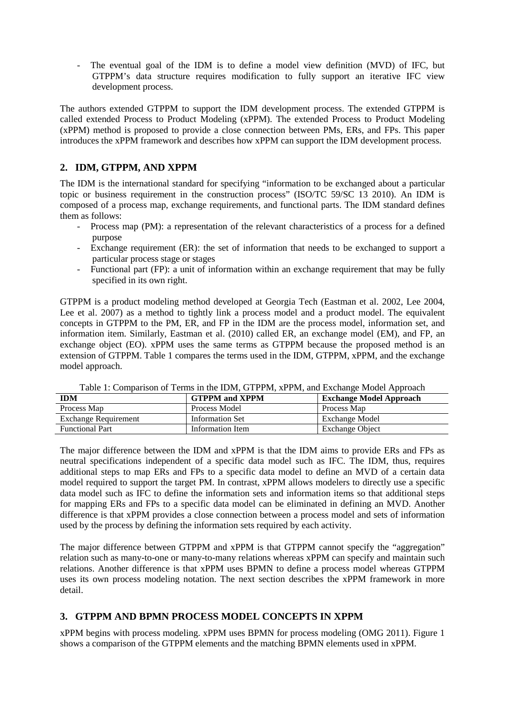- The eventual goal of the IDM is to define a model view definition (MVD) of IFC, but GTPPM's data structure requires modification to fully support an iterative IFC view development process.

The authors extended GTPPM to support the IDM development process. The extended GTPPM is called extended Process to Product Modeling (xPPM). The extended Process to Product Modeling (xPPM) method is proposed to provide a close connection between PMs, ERs, and FPs. This paper introduces the xPPM framework and describes how xPPM can support the IDM development process.

## **2. IDM, GTPPM, AND XPPM**

The IDM is the international standard for specifying "information to be exchanged about a particular topic or business requirement in the construction process" (ISO/TC 59/SC 13 2010). An IDM is composed of a process map, exchange requirements, and functional parts. The IDM standard defines them as follows:

- Process map (PM): a representation of the relevant characteristics of a process for a defined purpose
- Exchange requirement (ER): the set of information that needs to be exchanged to support a particular process stage or stages
- Functional part (FP): a unit of information within an exchange requirement that may be fully specified in its own right.

GTPPM is a product modeling method developed at Georgia Tech (Eastman et al. 2002, Lee 2004, Lee et al. 2007) as a method to tightly link a process model and a product model. The equivalent concepts in GTPPM to the PM, ER, and FP in the IDM are the process model, information set, and information item. Similarly, Eastman et al. (2010) called ER, an exchange model (EM), and FP, an exchange object (EO). xPPM uses the same terms as GTPPM because the proposed method is an extension of GTPPM. Table 1 compares the terms used in the IDM, GTPPM, xPPM, and the exchange model approach.

| <b>IDM</b>                  | <b>GTPPM</b> and <b>XPPM</b> | <b>Exchange Model Approach</b> |  |  |
|-----------------------------|------------------------------|--------------------------------|--|--|
| Process Map                 | <b>Process Model</b>         | Process Map                    |  |  |
| <b>Exchange Requirement</b> | <b>Information Set</b>       | Exchange Model                 |  |  |
| <b>Functional Part</b>      | Information Item             | <b>Exchange Object</b>         |  |  |
|                             |                              |                                |  |  |

Table 1: Comparison of Terms in the IDM, GTPPM, xPPM, and Exchange Model Approach

The major difference between the IDM and xPPM is that the IDM aims to provide ERs and FPs as neutral specifications independent of a specific data model such as IFC. The IDM, thus, requires additional steps to map ERs and FPs to a specific data model to define an MVD of a certain data model required to support the target PM. In contrast, xPPM allows modelers to directly use a specific data model such as IFC to define the information sets and information items so that additional steps for mapping ERs and FPs to a specific data model can be eliminated in defining an MVD. Another difference is that xPPM provides a close connection between a process model and sets of information used by the process by defining the information sets required by each activity.

The major difference between GTPPM and xPPM is that GTPPM cannot specify the "aggregation" relation such as many-to-one or many-to-many relations whereas xPPM can specify and maintain such relations. Another difference is that xPPM uses BPMN to define a process model whereas GTPPM uses its own process modeling notation. The next section describes the xPPM framework in more detail.

# **3. GTPPM AND BPMN PROCESS MODEL CONCEPTS IN XPPM**

xPPM begins with process modeling. xPPM uses BPMN for process modeling (OMG 2011). Figure 1 shows a comparison of the GTPPM elements and the matching BPMN elements used in xPPM.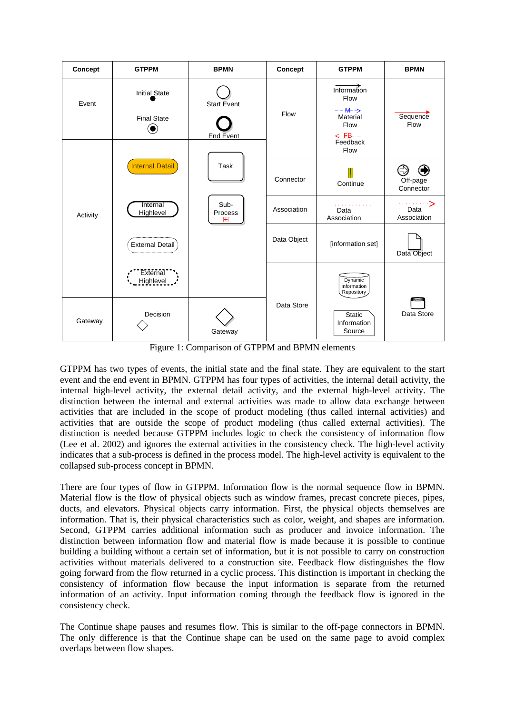

Figure 1: Comparison of GTPPM and BPMN elements

GTPPM has two types of events, the initial state and the final state. They are equivalent to the start event and the end event in BPMN. GTPPM has four types of activities, the internal detail activity, the internal high-level activity, the external detail activity, and the external high-level activity. The distinction between the internal and external activities was made to allow data exchange between activities that are included in the scope of product modeling (thus called internal activities) and activities that are outside the scope of product modeling (thus called external activities). The distinction is needed because GTPPM includes logic to check the consistency of information flow (Lee et al. 2002) and ignores the external activities in the consistency check. The high-level activity indicates that a sub-process is defined in the process model. The high-level activity is equivalent to the collapsed sub-process concept in BPMN.

There are four types of flow in GTPPM. Information flow is the normal sequence flow in BPMN. Material flow is the flow of physical objects such as window frames, precast concrete pieces, pipes, ducts, and elevators. Physical objects carry information. First, the physical objects themselves are information. That is, their physical characteristics such as color, weight, and shapes are information. Second, GTPPM carries additional information such as producer and invoice information. The distinction between information flow and material flow is made because it is possible to continue building a building without a certain set of information, but it is not possible to carry on construction activities without materials delivered to a construction site. Feedback flow distinguishes the flow going forward from the flow returned in a cyclic process. This distinction is important in checking the consistency of information flow because the input information is separate from the returned information of an activity. Input information coming through the feedback flow is ignored in the consistency check.

The Continue shape pauses and resumes flow. This is similar to the off-page connectors in BPMN. The only difference is that the Continue shape can be used on the same page to avoid complex overlaps between flow shapes.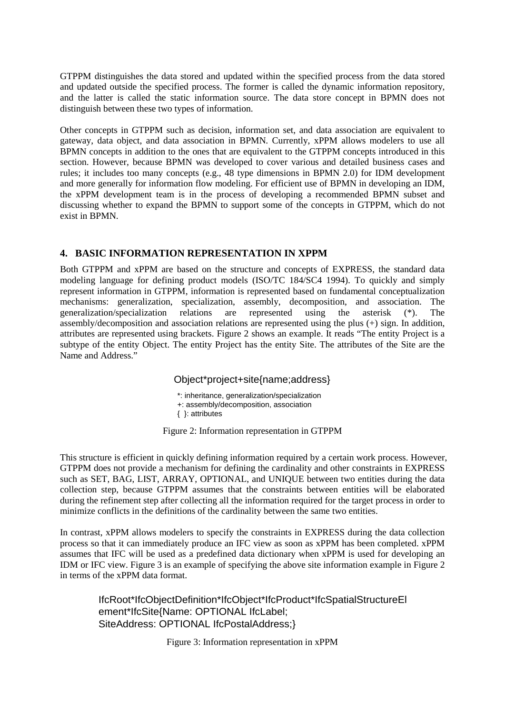GTPPM distinguishes the data stored and updated within the specified process from the data stored and updated outside the specified process. The former is called the dynamic information repository, and the latter is called the static information source. The data store concept in BPMN does not distinguish between these two types of information.

Other concepts in GTPPM such as decision, information set, and data association are equivalent to gateway, data object, and data association in BPMN. Currently, xPPM allows modelers to use all BPMN concepts in addition to the ones that are equivalent to the GTPPM concepts introduced in this section. However, because BPMN was developed to cover various and detailed business cases and rules; it includes too many concepts (e.g., 48 type dimensions in BPMN 2.0) for IDM development and more generally for information flow modeling. For efficient use of BPMN in developing an IDM, the xPPM development team is in the process of developing a recommended BPMN subset and discussing whether to expand the BPMN to support some of the concepts in GTPPM, which do not exist in BPMN.

## **4. BASIC INFORMATION REPRESENTATION IN XPPM**

Both GTPPM and xPPM are based on the structure and concepts of EXPRESS, the standard data modeling language for defining product models (ISO/TC 184/SC4 1994). To quickly and simply represent information in GTPPM, information is represented based on fundamental conceptualization mechanisms: generalization, specialization, assembly, decomposition, and association. The generalization/specialization relations are represented using the asterisk (\*). The assembly/decomposition and association relations are represented using the plus (+) sign. In addition, attributes are represented using brackets. Figure 2 shows an example. It reads "The entity Project is a subtype of the entity Object. The entity Project has the entity Site. The attributes of the Site are the Name and Address."

## Object\*project+site{name;address}

\*: inheritance, generalization/specialization +: assembly/decomposition, association { }: attributes

Figure 2: Information representation in GTPPM

This structure is efficient in quickly defining information required by a certain work process. However, GTPPM does not provide a mechanism for defining the cardinality and other constraints in EXPRESS such as SET, BAG, LIST, ARRAY, OPTIONAL, and UNIQUE between two entities during the data collection step, because GTPPM assumes that the constraints between entities will be elaborated during the refinement step after collecting all the information required for the target process in order to minimize conflicts in the definitions of the cardinality between the same two entities.

In contrast, xPPM allows modelers to specify the constraints in EXPRESS during the data collection process so that it can immediately produce an IFC view as soon as xPPM has been completed. xPPM assumes that IFC will be used as a predefined data dictionary when xPPM is used for developing an IDM or IFC view. Figure 3 is an example of specifying the above site information example in Figure 2 in terms of the xPPM data format.

IfcRoot\*IfcObjectDefinition\*IfcObject\*IfcProduct\*IfcSpatialStructureEl ement\*IfcSite{Name: OPTIONAL IfcLabel; SiteAddress: OPTIONAL IfcPostalAddress;}

Figure 3: Information representation in xPPM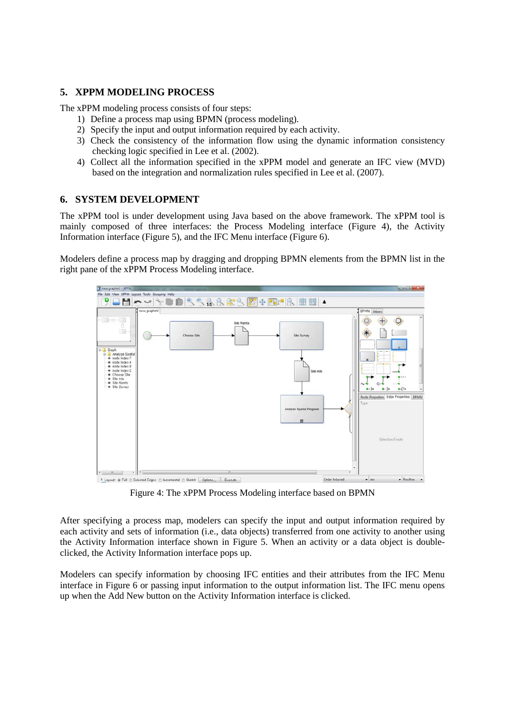## **5. XPPM MODELING PROCESS**

The xPPM modeling process consists of four steps:

- 1) Define a process map using BPMN (process modeling).
- 2) Specify the input and output information required by each activity.
- 3) Check the consistency of the information flow using the dynamic information consistency checking logic specified in Lee et al. (2002).
- 4) Collect all the information specified in the xPPM model and generate an IFC view (MVD) based on the integration and normalization rules specified in Lee et al. (2007).

#### **6. SYSTEM DEVELOPMENT**

The xPPM tool is under development using Java based on the above framework. The xPPM tool is mainly composed of three interfaces: the Process Modeling interface (Figure 4), the Activity Information interface (Figure 5), and the IFC Menu interface (Figure 6).

Modelers define a process map by dragging and dropping BPMN elements from the BPMN list in the right pane of the xPPM Process Modeling interface.



Figure 4: The xPPM Process Modeling interface based on BPMN

After specifying a process map, modelers can specify the input and output information required by each activity and sets of information (i.e., data objects) transferred from one activity to another using the Activity Information interface shown in Figure 5. When an activity or a data object is doubleclicked, the Activity Information interface pops up.

Modelers can specify information by choosing IFC entities and their attributes from the IFC Menu interface in Figure 6 or passing input information to the output information list. The IFC menu opens up when the Add New button on the Activity Information interface is clicked.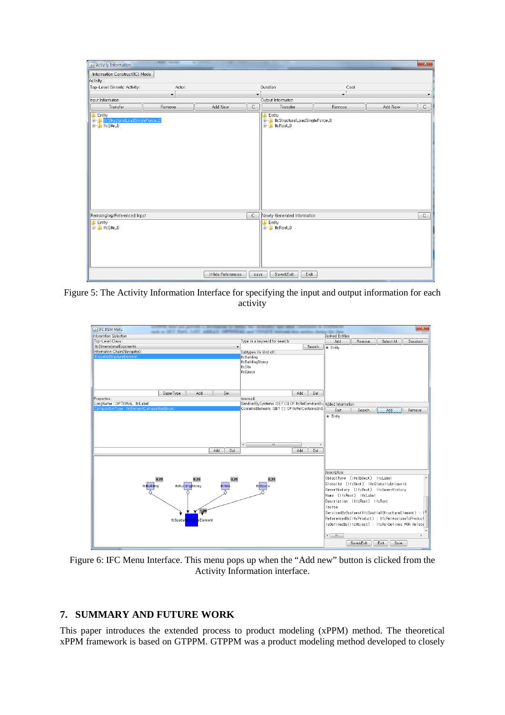| Activity Information                                                                          |                      |                                              |              |                                                                      |        |         | $\mathbf{x}$ |
|-----------------------------------------------------------------------------------------------|----------------------|----------------------------------------------|--------------|----------------------------------------------------------------------|--------|---------|--------------|
| Information Construct(IC) Mode                                                                |                      |                                              |              |                                                                      |        |         |              |
| Activity:                                                                                     |                      |                                              |              |                                                                      |        |         |              |
| Top-Level Generic Activity:                                                                   | Actor:               |                                              |              | Duration<br>Cost                                                     |        |         |              |
|                                                                                               | $\blacktriangledown$ | $\blacktriangledown$<br>$\blacktriangledown$ |              |                                                                      |        | ▼       |              |
| Input Informaton                                                                              |                      |                                              |              | Output Informaton                                                    |        |         |              |
| Transfer                                                                                      | Remove               | Add New                                      | $\mathsf{C}$ | Transfer                                                             | Remove | Add New | $\mathsf C$  |
| <b>Entity</b><br><b>Committe</b> InstructuralLoadSingleForce_0<br>  <b>Committe</b> Instite_0 |                      |                                              |              | Entity<br><b>E-B</b> IfcStructuralLoadSingleForce_0<br>E-B IfcRoot_0 |        |         |              |
| Remainging/Referenced Input                                                                   |                      |                                              | $\mathsf{C}$ | Newly Generated Information                                          |        |         | C            |
| Entity<br>E-1 IfcSite_0                                                                       |                      |                                              |              | Entity<br>E- IfcRoot_0                                               |        |         |              |
| Save&Exit<br>Exit<br>>Hide References<br>save                                                 |                      |                                              |              |                                                                      |        |         |              |

Figure 5: The Activity Information Interface for specifying the input and output information for each activity



Figure 6: IFC Menu Interface. This menu pops up when the "Add new" button is clicked from the Activity Information interface.

## **7. SUMMARY AND FUTURE WORK**

This paper introduces the extended process to product modeling (xPPM) method. The theoretical xPPM framework is based on GTPPM. GTPPM was a product modeling method developed to closely